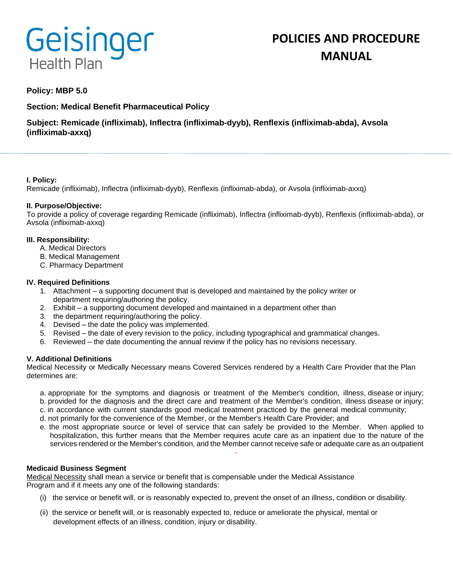# Geisinger **Health Plan**

# **POLICIES AND PROCEDURE MANUAL**

# **Policy: MBP 5.0**

**Section: Medical Benefit Pharmaceutical Policy**

**Subject: Remicade (infliximab), Inflectra (infliximab-dyyb), Renflexis (infliximab-abda), Avsola (infliximab-axxq)**

# **I. Policy:**

Remicade (infliximab), Inflectra (infliximab-dyyb), Renflexis (infliximab-abda), or Avsola (infliximab-axxq)

# **II. Purpose/Objective:**

To provide a policy of coverage regarding Remicade (infliximab), Inflectra (infliximab-dyyb), Renflexis (infliximab-abda), or Avsola (infliximab-axxq)

# **III. Responsibility:**

- A. Medical Directors
- B. Medical Management
- C. Pharmacy Department

# **IV. Required Definitions**

- 1. Attachment a supporting document that is developed and maintained by the policy writer or department requiring/authoring the policy.
- 2. Exhibit a supporting document developed and maintained in a department other than
- 3. the department requiring/authoring the policy.
- 4. Devised the date the policy was implemented.
- 5. Revised the date of every revision to the policy, including typographical and grammatical changes.
- 6. Reviewed the date documenting the annual review if the policy has no revisions necessary.

# **V. Additional Definitions**

Medical Necessity or Medically Necessary means Covered Services rendered by a Health Care Provider that the Plan determines are:

- a. appropriate for the symptoms and diagnosis or treatment of the Member's condition, illness, disease or injury;
- b. provided for the diagnosis and the direct care and treatment of the Member's condition, illness disease or injury;
- c. in accordance with current standards good medical treatment practiced by the general medical community;
- d. not primarily for the convenience of the Member, or the Member's Health Care Provider; and
- e. the most appropriate source or level of service that can safely be provided to the Member. When applied to hospitalization, this further means that the Member requires acute care as an inpatient due to the nature of the services rendered or the Member's condition, and the Member cannot receive safe or adequate care as an outpatient

# **Medicaid Business Segment**

Medical Necessity shall mean a service or benefit that is compensable under the Medical Assistance Program and if it meets any one of the following standards:

- (i) the service or benefit will, or is reasonably expected to, prevent the onset of an illness, condition or disability.
- (ii) the service or benefit will, or is reasonably expected to, reduce or ameliorate the physical, mental or development effects of an illness, condition, injury or disability.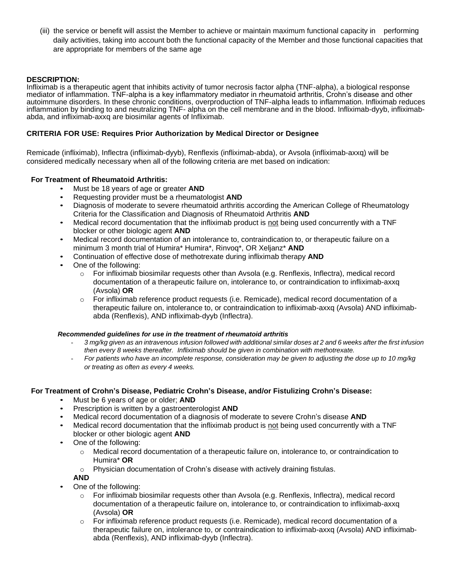(iii) the service or benefit will assist the Member to achieve or maintain maximum functional capacity in performing daily activities, taking into account both the functional capacity of the Member and those functional capacities that are appropriate for members of the same age

# **DESCRIPTION:**

Infliximab is a therapeutic agent that inhibits activity of tumor necrosis factor alpha (TNF-alpha), a biological response mediator of inflammation. TNF-alpha is a key inflammatory mediator in rheumatoid arthritis, Crohn's disease and other autoimmune disorders. In these chronic conditions, overproduction of TNF-alpha leads to inflammation. Infliximab reduces inflammation by binding to and neutralizing TNF- alpha on the cell membrane and in the blood. Infliximab-dyyb, infliximababda, and infliximab-axxq are biosimilar agents of Infliximab.

#### **CRITERIA FOR USE: Requires Prior Authorization by Medical Director or Designee**

Remicade (infliximab), Inflectra (infliximab-dyyb), Renflexis (infliximab-abda), or Avsola (infliximab-axxq) will be considered medically necessary when all of the following criteria are met based on indication:

# **For Treatment of Rheumatoid Arthritis:**

- Must be 18 years of age or greater **AND**
- Requesting provider must be a rheumatologist **AND**
- Diagnosis of moderate to severe rheumatoid arthritis according the American College of Rheumatology Criteria for the Classification and Diagnosis of Rheumatoid Arthritis **AND**
- Medical record documentation that the infliximab product is not being used concurrently with a TNF blocker or other biologic agent **AND**
- Medical record documentation of an intolerance to, contraindication to, or therapeutic failure on a minimum 3 month trial of Humira\* Humira\*, Rinvoq\*, OR Xeljanz\* **AND**
- Continuation of effective dose of methotrexate during infliximab therapy **AND**
- One of the following:
	- o For infliximab biosimilar requests other than Avsola (e.g. Renflexis, Inflectra), medical record documentation of a therapeutic failure on, intolerance to, or contraindication to infliximab-axxq (Avsola) **OR**
	- $\circ$  For infliximab reference product requests (i.e. Remicade), medical record documentation of a therapeutic failure on, intolerance to, or contraindication to infliximab-axxq (Avsola) AND infliximababda (Renflexis), AND infliximab-dyyb (Inflectra).

#### *Recommended guidelines for use in the treatment of rheumatoid arthritis*

- *3 mg/kg given as an intravenous infusion followed with additional similar doses at 2 and 6 weeks after the first infusion then every 8 weeks thereafter. Infliximab should be given in combination with methotrexate.*
- *For patients who have an incomplete response, consideration may be given to adjusting the dose up to 10 mg/kg or treating as often as every 4 weeks.*

#### **For Treatment of Crohn's Disease, Pediatric Crohn's Disease, and/or Fistulizing Crohn's Disease:**

- Must be 6 years of age or older; **AND**
- Prescription is written by a gastroenterologist **AND**
- Medical record documentation of a diagnosis of moderate to severe Crohn's disease **AND**
- Medical record documentation that the infliximab product is not being used concurrently with a TNF blocker or other biologic agent **AND**
- One of the following:
	- $\circ$  Medical record documentation of a therapeutic failure on, intolerance to, or contraindication to Humira\* **OR**
	- o Physician documentation of Crohn's disease with actively draining fistulas.

**AND**

- One of the following:
	- o For infliximab biosimilar requests other than Avsola (e.g. Renflexis, Inflectra), medical record documentation of a therapeutic failure on, intolerance to, or contraindication to infliximab-axxq (Avsola) **OR**
	- $\circ$  For infliximab reference product requests (i.e. Remicade), medical record documentation of a therapeutic failure on, intolerance to, or contraindication to infliximab-axxq (Avsola) AND infliximababda (Renflexis), AND infliximab-dyyb (Inflectra).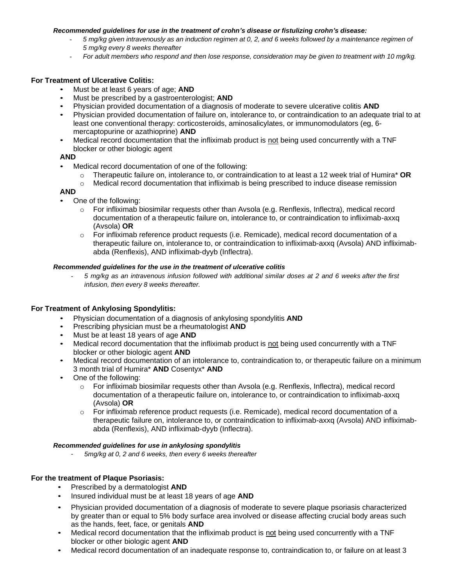#### *Recommended guidelines for use in the treatment of crohn's disease or fistulizing crohn's disease:*

- *5 mg/kg given intravenously as an induction regimen at 0, 2, and 6 weeks followed by a maintenance regimen of 5 mg/kg every 8 weeks thereafter*
- *For adult members who respond and then lose response, consideration may be given to treatment with 10 mg/kg.*

# **For Treatment of Ulcerative Colitis:**

- Must be at least 6 years of age; **AND**
- Must be prescribed by a gastroenterologist; **AND**
- Physician provided documentation of a diagnosis of moderate to severe ulcerative colitis **AND**
- Physician provided documentation of failure on, intolerance to, or contraindication to an adequate trial to at least one conventional therapy: corticosteroids, aminosalicylates, or immunomodulators (eg, 6 mercaptopurine or azathioprine) **AND**
- Medical record documentation that the infliximab product is not being used concurrently with a TNF blocker or other biologic agent

#### **AND**

- Medical record documentation of one of the following:
	- o Therapeutic failure on, intolerance to, or contraindication to at least a 12 week trial of Humira\* **OR**
	- $\circ$  Medical record documentation that infliximab is being prescribed to induce disease remission

#### **AND**

- One of the following:
	- o For infliximab biosimilar requests other than Avsola (e.g. Renflexis, Inflectra), medical record documentation of a therapeutic failure on, intolerance to, or contraindication to infliximab-axxq (Avsola) **OR**
	- $\circ$  For infliximab reference product requests (i.e. Remicade), medical record documentation of a therapeutic failure on, intolerance to, or contraindication to infliximab-axxq (Avsola) AND infliximababda (Renflexis), AND infliximab-dyyb (Inflectra).

#### *Recommended guidelines for the use in the treatment of ulcerative colitis*

- *5 mg/kg as an intravenous infusion followed with additional similar doses at 2 and 6 weeks after the first infusion, then every 8 weeks thereafter.*

#### **For Treatment of Ankylosing Spondylitis:**

- Physician documentation of a diagnosis of ankylosing spondylitis **AND**
- Prescribing physician must be a rheumatologist **AND**
- Must be at least 18 years of age **AND**
- Medical record documentation that the infliximab product is not being used concurrently with a TNF blocker or other biologic agent **AND**
- Medical record documentation of an intolerance to, contraindication to, or therapeutic failure on a minimum 3 month trial of Humira\* **AND** Cosentyx\* **AND**
- One of the following:
	- o For infliximab biosimilar requests other than Avsola (e.g. Renflexis, Inflectra), medical record documentation of a therapeutic failure on, intolerance to, or contraindication to infliximab-axxq (Avsola) **OR**
	- $\circ$  For infliximab reference product requests (i.e. Remicade), medical record documentation of a therapeutic failure on, intolerance to, or contraindication to infliximab-axxq (Avsola) AND infliximababda (Renflexis), AND infliximab-dyyb (Inflectra).

#### *Recommended guidelines for use in ankylosing spondylitis*

- *5mg/kg at 0, 2 and 6 weeks, then every 6 weeks thereafter*

#### **For the treatment of Plaque Psoriasis:**

- Prescribed by a dermatologist **AND**
- Insured individual must be at least 18 years of age **AND**
- Physician provided documentation of a diagnosis of moderate to severe plaque psoriasis characterized by greater than or equal to 5% body surface area involved or disease affecting crucial body areas such as the hands, feet, face, or genitals **AND**
- Medical record documentation that the infliximab product is not being used concurrently with a TNF blocker or other biologic agent **AND**
- Medical record documentation of an inadequate response to, contraindication to, or failure on at least 3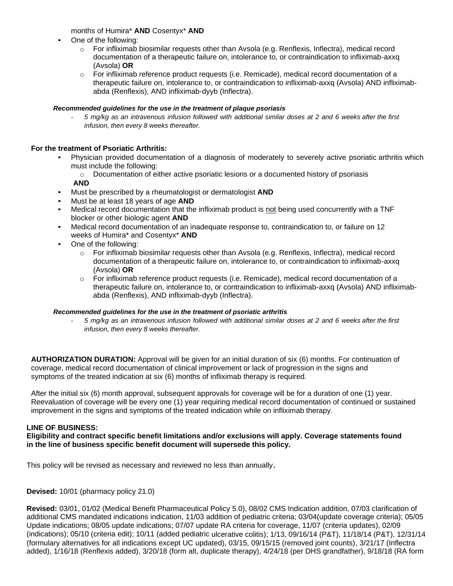months of Humira\* **AND** Cosentyx\* **AND**

- One of the following:
	- o For infliximab biosimilar requests other than Avsola (e.g. Renflexis, Inflectra), medical record documentation of a therapeutic failure on, intolerance to, or contraindication to infliximab-axxq (Avsola) **OR**
	- $\circ$  For infliximab reference product requests (i.e. Remicade), medical record documentation of a therapeutic failure on, intolerance to, or contraindication to infliximab-axxq (Avsola) AND infliximababda (Renflexis), AND infliximab-dyyb (Inflectra).

#### *Recommended guidelines for the use in the treatment of plaque psoriasis*

- *5 mg/kg as an intravenous infusion followed with additional similar doses at 2 and 6 weeks after the first infusion, then every 8 weeks thereafter.*

# **For the treatment of Psoriatic Arthritis:**

- Physician provided documentation of a diagnosis of moderately to severely active psoriatic arthritis which must include the following:
	- $\circ$  Documentation of either active psoriatic lesions or a documented history of psoriasis

# **AND**

- Must be prescribed by a rheumatologist or dermatologist **AND**
- Must be at least 18 years of age **AND**
- Medical record documentation that the infliximab product is not being used concurrently with a TNF blocker or other biologic agent **AND**
- Medical record documentation of an inadequate response to, contraindication to, or failure on 12 weeks of Humira\* and Cosentyx\* **AND**
- One of the following:
	- o For infliximab biosimilar requests other than Avsola (e.g. Renflexis, Inflectra), medical record documentation of a therapeutic failure on, intolerance to, or contraindication to infliximab-axxq (Avsola) **OR**
	- $\circ$  For infliximab reference product requests (i.e. Remicade), medical record documentation of a therapeutic failure on, intolerance to, or contraindication to infliximab-axxq (Avsola) AND infliximababda (Renflexis), AND infliximab-dyyb (Inflectra).

#### *Recommended guidelines for the use in the treatment of psoriatic arthritis*

- *5 mg/kg as an intravenous infusion followed with additional similar doses at 2 and 6 weeks after the first infusion, then every 8 weeks thereafter.*

**AUTHORIZATION DURATION:** Approval will be given for an initial duration of six (6) months. For continuation of coverage, medical record documentation of clinical improvement or lack of progression in the signs and symptoms of the treated indication at six (6) months of infliximab therapy is required.

After the initial six (6) month approval, subsequent approvals for coverage will be for a duration of one (1) year. Reevaluation of coverage will be every one (1) year requiring medical record documentation of continued or sustained improvement in the signs and symptoms of the treated indication while on infliximab therapy.

# **LINE OF BUSINESS:**

**Eligibility and contract specific benefit limitations and/or exclusions will apply. Coverage statements found in the line of business specific benefit document will supersede this policy.**

This policy will be revised as necessary and reviewed no less than annually.

**Devised:** 10/01 (pharmacy policy 21.0)

**Revised:** 03/01, 01/02 (Medical Benefit Pharmaceutical Policy 5.0), 08/02 CMS Indication addition, 07/03 clarification of additional CMS mandated indications indication, 11/03 addition of pediatric criteria; 03/04(update coverage criteria); 05/05 Update indications; 08/05 update indications; 07/07 update RA criteria for coverage, 11/07 (criteria updates), 02/09 (indications); 05/10 (criteria edit); 10/11 (added pediatric ulcerative colitis); 1/13, 09/16/14 (P&T), 11/18/14 (P&T), 12/31/14 (formulary alternatives for all indications except UC updated), 03/15, 09/15/15 (removed joint counts), 3/21/17 (Inflectra added), 1/16/18 (Renflexis added), 3/20/18 (form alt, duplicate therapy), 4/24/18 (per DHS grandfather), 9/18/18 (RA form